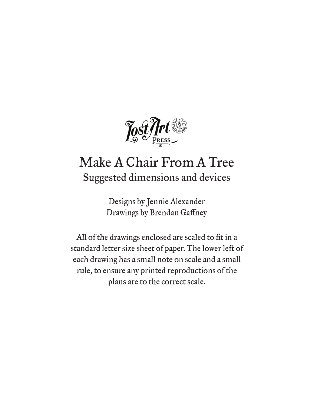

## Make A Chair From A Tree Suggested dimensions and devices

Designs by Jennie Alexander Drawings by Brendan Gaffney

All of the drawings enclosed are scaled to fit in a standard letter size sheet of paper. The lower left of each drawing has a small note on scale and a small rule, to ensure any printed reproductions of the plans are to the correct scale.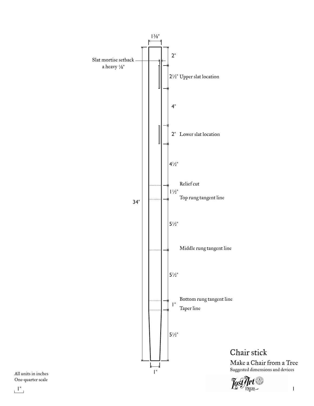

Chair stick Make a Chair from a Tree Suggested dimensions and devices

 $1"$ 

One-quarter scale All units in inches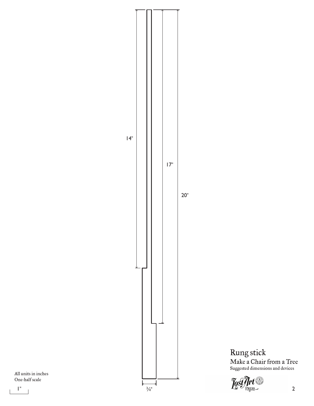

One-half scale All units in inches



Rung stick

Make a Chair from a Tree Suggested dimensions and devices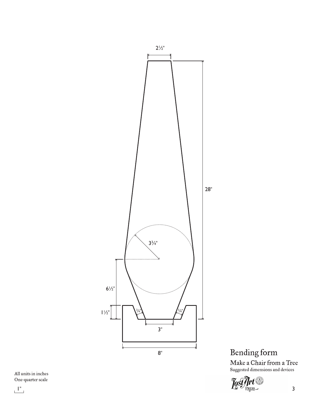

Bending form Make a Chair from a Tree Suggested dimensions and devices



## One-quarter scale All units in inches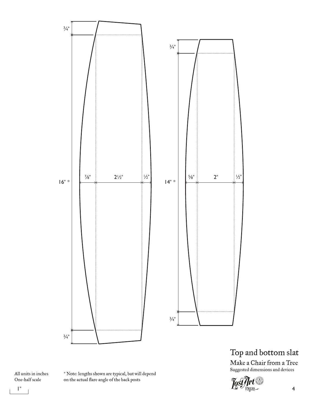

Top and bottom slat

Make a Chair from a Tree<br>Suggested dimensions and devices



One-half scale All units in inches \* Note: lengths shown are typical, but will depend on the actual flare angle of the back posts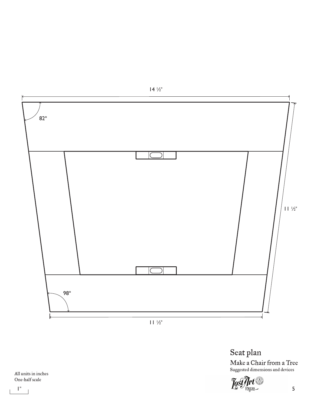

Seat plan

Make a Chair from a Tree Suggested dimensions and devices

 $1''$   $1''$ 

One-half scale All units in inches  $14\frac{1}{2}$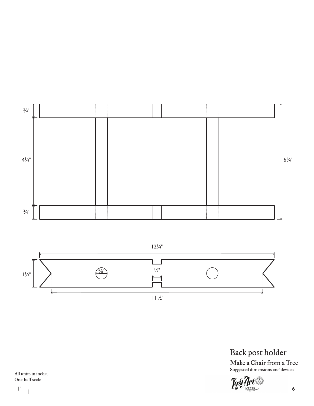

 $12\frac{3}{4}$ "



Back post holder Make a Chair from a Tree

Suggested dimensions and devices

 $1''$   $1''$ 

One-half scale All units in inches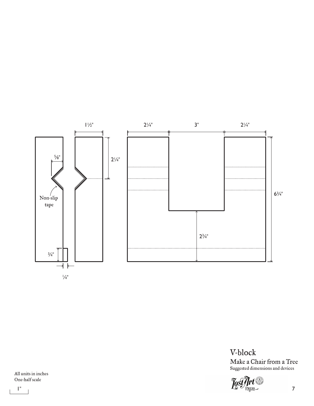

V-block Make a Chair from a Tree Suggested dimensions and devices

 $1''$   $1''$ 

One-half scale All units in inches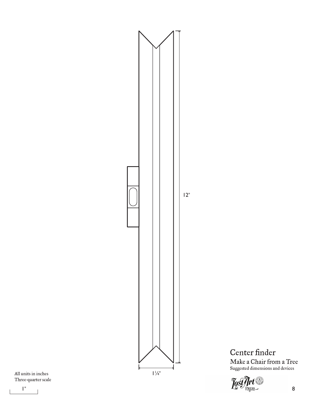

Center finder Make a Chair from a Tree Suggested dimensions and devices

Three-quarter scale All units in inches